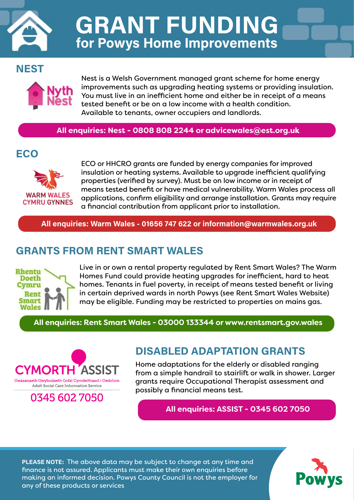

GRANT FUNDING for Powys Home Improvements

### NEST



Nest is a Welsh Government managed grant scheme for home energy improvements such as upgrading heating systems or providing insulation. You must live in an inefficient home and either be in receipt of a means tested benefit or be on a low income with a health condition. Available to tenants, owner occupiers and landlords.

**All enquiries: Nest - 0808 808 2244 or advicewales@est.org.uk**

## ECO



ECO or HHCRO grants are funded by energy companies for improved insulation or heating systems. Available to upgrade inefficient qualifying properties (verified by survey). Must be on low income or in receipt of means tested benefit or have medical vulnerability. Warm Wales process all applications, confirm eligibility and arrange installation. Grants may require a financial contribution from applicant prior to installation.

All enquiries: Warm Wales - 01656 747 622 or information@warmwales.org.uk

### GRANTS FROM RENT SMART WALES



Live in or own a rental property regulated by Rent Smart Wales? The Warm Homes Fund could provide heating upgrades for inefficient, hard to heat homes. Tenants in fuel poverty, in receipt of means tested benefit or living in certain deprived wards in north Powys (see Rent Smart Wales Website) may be eligible. Funding may be restricted to properties on mains gas.

**All enquiries: Rent Smart Wales - 03000 133344 or www.rentsmart.gov.wales**



## 0345 602 7050

### DISABLED ADAPTATION GRANTS

Home adaptations for the elderly or disabled ranging from a simple handrail to stairlift or walk in shower. Larger grants require Occupational Therapist assessment and possibly a financial means test.

**All enquiries: ASSIST - 0345 602 7050**

PLEASE NOTE: The above data may be subject to change at any time and finance is not assured. Applicants must make their own enquiries before making an informed decision. Powys County Council is not the employer for any of these products or services